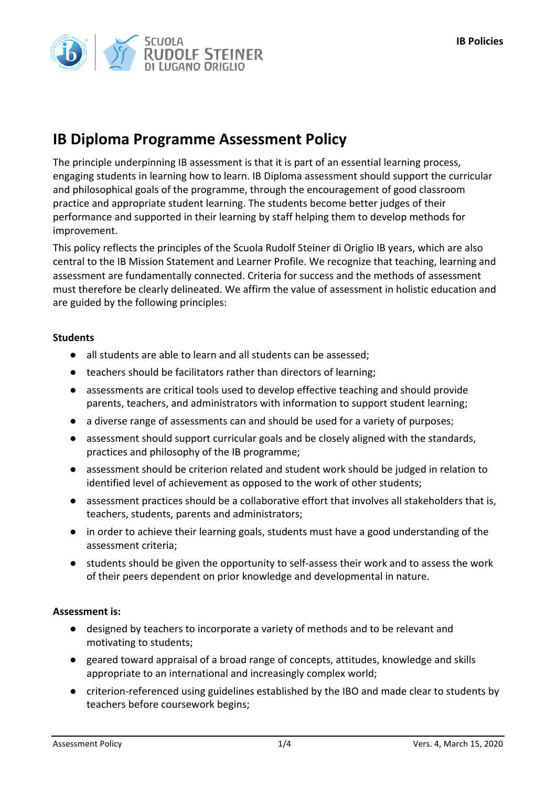# **IB Diploma Programme Assessment Policy**

The principle underpinning IB assessment is that it is part of an essential learning process, engaging students in learning how to learn. IB Diploma assessment should support the curricular and philosophical goals of the programme, through the encouragement of good classroom practice and appropriate student learning. The students become better judges of their performance and supported in their learning by staff helping them to develop methods for improvement.

This policy reflects the principles of the Scuola Rudolf Steiner di Origlio IB years, which are also central to the IB Mission Statement and Learner Profile. We recognize that teaching, learning and assessment are fundamentally connected. Criteria for success and the methods of assessment must therefore be clearly delineated. We affirm the value of assessment in holistic education and are guided by the following principles:

## **Students**

- all students are able to learn and all students can be assessed;
- teachers should be facilitators rather than directors of learning;
- assessments are critical tools used to develop effective teaching and should provide parents, teachers, and administrators with information to support student learning;
- a diverse range of assessments can and should be used for a variety of purposes;
- assessment should support curricular goals and be closely aligned with the standards, practices and philosophy of the IB programme;
- assessment should be criterion related and student work should be judged in relation to identified level of achievement as opposed to the work of other students;
- assessment practices should be a collaborative effort that involves all stakeholders that is, teachers, students, parents and administrators;
- in order to achieve their learning goals, students must have a good understanding of the assessment criteria;
- students should be given the opportunity to self-assess their work and to assess the work of their peers dependent on prior knowledge and developmental in nature.

#### Assessment is:

- designed by teachers to incorporate a variety of methods and to be relevant and motivating to students;
- geared toward appraisal of a broad range of concepts, attitudes, knowledge and skills appropriate to an international and increasingly complex world;
- criterion-referenced using guidelines established by the IBO and made clear to students by teachers before coursework begins;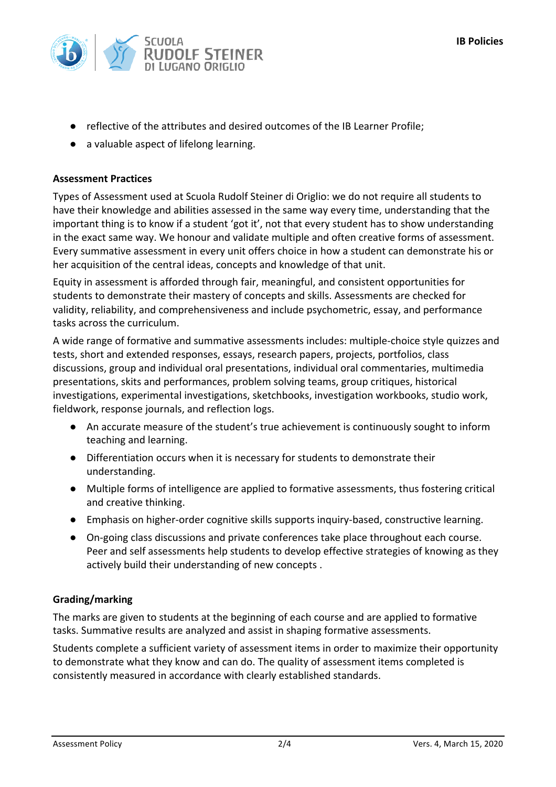

- reflective of the attributes and desired outcomes of the IB Learner Profile:
- a valuable aspect of lifelong learning.

## **Assessment Practices**

Types of Assessment used at Scuola Rudolf Steiner di Origlio: we do not require all students to have their knowledge and abilities assessed in the same way every time, understanding that the important thing is to know if a student 'got it', not that every student has to show understanding in the exact same way. We honour and validate multiple and often creative forms of assessment. Every summative assessment in every unit offers choice in how a student can demonstrate his or her acquisition of the central ideas, concepts and knowledge of that unit.

Equity in assessment is afforded through fair, meaningful, and consistent opportunities for students to demonstrate their mastery of concepts and skills. Assessments are checked for validity, reliability, and comprehensiveness and include psychometric, essay, and performance tasks across the curriculum.

A wide range of formative and summative assessments includes: multiple-choice style quizzes and tests, short and extended responses, essays, research papers, projects, portfolios, class discussions, group and individual oral presentations, individual oral commentaries, multimedia presentations, skits and performances, problem solving teams, group critiques, historical investigations, experimental investigations, sketchbooks, investigation workbooks, studio work, fieldwork, response journals, and reflection logs.

- An accurate measure of the student's true achievement is continuously sought to inform teaching and learning.
- Differentiation occurs when it is necessary for students to demonstrate their understanding.
- Multiple forms of intelligence are applied to formative assessments, thus fostering critical and creative thinking.
- Emphasis on higher-order cognitive skills supports inquiry-based, constructive learning.
- On-going class discussions and private conferences take place throughout each course. Peer and self assessments help students to develop effective strategies of knowing as they actively build their understanding of new concepts.

## **Grading/marking**

The marks are given to students at the beginning of each course and are applied to formative tasks. Summative results are analyzed and assist in shaping formative assessments.

Students complete a sufficient variety of assessment items in order to maximize their opportunity to demonstrate what they know and can do. The quality of assessment items completed is consistently measured in accordance with clearly established standards.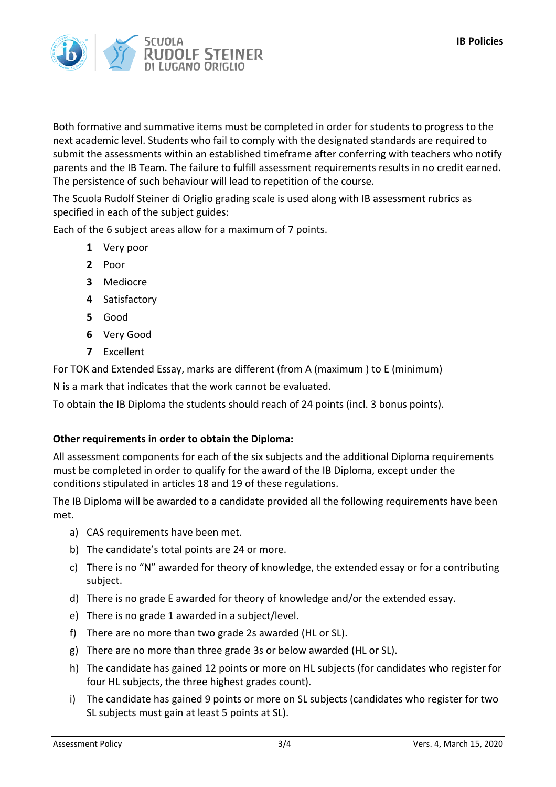

Both formative and summative items must be completed in order for students to progress to the next academic level. Students who fail to comply with the designated standards are required to submit the assessments within an established timeframe after conferring with teachers who notify parents and the IB Team. The failure to fulfill assessment requirements results in no credit earned. The persistence of such behaviour will lead to repetition of the course.

The Scuola Rudolf Steiner di Origlio grading scale is used along with IB assessment rubrics as specified in each of the subject guides:

Each of the 6 subject areas allow for a maximum of 7 points.

- **1** Very poor
- **2** Poor
- **3** Mediocre
- **4** Satisfactory
- **5** Good
- **6** Very Good
- **7** Excellent

For TOK and Extended Essay, marks are different (from A (maximum) to E (minimum)

N is a mark that indicates that the work cannot be evaluated.

To obtain the IB Diploma the students should reach of 24 points (incl. 3 bonus points).

## **Other requirements in order to obtain the Diploma:**

All assessment components for each of the six subjects and the additional Diploma requirements must be completed in order to qualify for the award of the IB Diploma, except under the conditions stipulated in articles 18 and 19 of these regulations.

The IB Diploma will be awarded to a candidate provided all the following requirements have been met.

- a) CAS requirements have been met.
- b) The candidate's total points are 24 or more.
- c) There is no "N" awarded for theory of knowledge, the extended essay or for a contributing subject.
- d) There is no grade E awarded for theory of knowledge and/or the extended essay.
- e) There is no grade 1 awarded in a subject/level.
- f) There are no more than two grade 2s awarded (HL or SL).
- g) There are no more than three grade 3s or below awarded (HL or SL).
- h) The candidate has gained 12 points or more on HL subjects (for candidates who register for four HL subjects, the three highest grades count).
- i) The candidate has gained 9 points or more on SL subjects (candidates who register for two SL subjects must gain at least 5 points at SL).